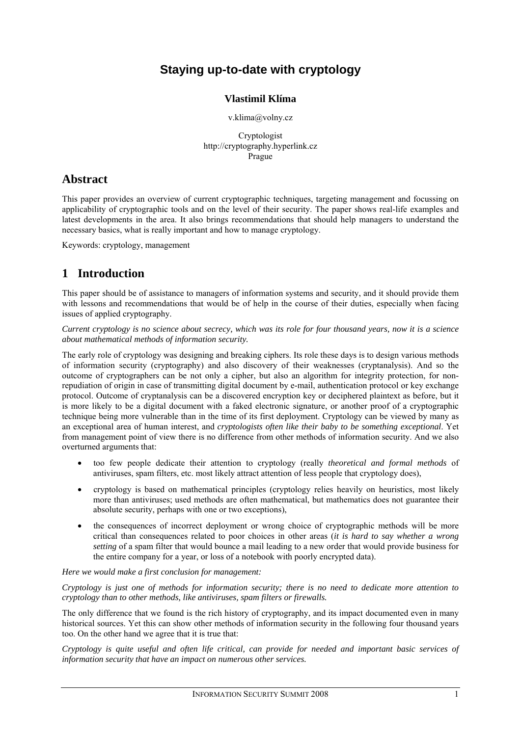# **Staying up-to-date with cryptology**

#### **Vlastimil Klíma**

v.klima@volny.cz

Cryptologist http://cryptography.hyperlink.cz Prague

## **Abstract**

This paper provides an overview of current cryptographic techniques, targeting management and focussing on applicability of cryptographic tools and on the level of their security. The paper shows real-life examples and latest developments in the area. It also brings recommendations that should help managers to understand the necessary basics, what is really important and how to manage cryptology.

Keywords: cryptology, management

## **1 Introduction**

This paper should be of assistance to managers of information systems and security, and it should provide them with lessons and recommendations that would be of help in the course of their duties, especially when facing issues of applied cryptography.

*Current cryptology is no science about secrecy, which was its role for four thousand years, now it is a science about mathematical methods of information security.*

The early role of cryptology was designing and breaking ciphers. Its role these days is to design various methods of information security (cryptography) and also discovery of their weaknesses (cryptanalysis). And so the outcome of cryptographers can be not only a cipher, but also an algorithm for integrity protection, for nonrepudiation of origin in case of transmitting digital document by e-mail, authentication protocol or key exchange protocol. Outcome of cryptanalysis can be a discovered encryption key or deciphered plaintext as before, but it is more likely to be a digital document with a faked electronic signature, or another proof of a cryptographic technique being more vulnerable than in the time of its first deployment. Cryptology can be viewed by many as an exceptional area of human interest, and *cryptologists often like their baby to be something exceptional*. Yet from management point of view there is no difference from other methods of information security. And we also overturned arguments that:

- too few people dedicate their attention to cryptology (really *theoretical and formal methods* of antiviruses, spam filters, etc. most likely attract attention of less people that cryptology does),
- cryptology is based on mathematical principles (cryptology relies heavily on heuristics, most likely more than antiviruses; used methods are often mathematical, but mathematics does not guarantee their absolute security, perhaps with one or two exceptions),
- the consequences of incorrect deployment or wrong choice of cryptographic methods will be more critical than consequences related to poor choices in other areas (*it is hard to say whether a wrong setting* of a spam filter that would bounce a mail leading to a new order that would provide business for the entire company for a year, or loss of a notebook with poorly encrypted data).

*Here we would make a first conclusion for management:* 

*Cryptology is just one of methods for information security; there is no need to dedicate more attention to cryptology than to other methods, like antiviruses, spam filters or firewalls.*

The only difference that we found is the rich history of cryptography, and its impact documented even in many historical sources. Yet this can show other methods of information security in the following four thousand years too. On the other hand we agree that it is true that:

*Cryptology is quite useful and often life critical, can provide for needed and important basic services of information security that have an impact on numerous other services.*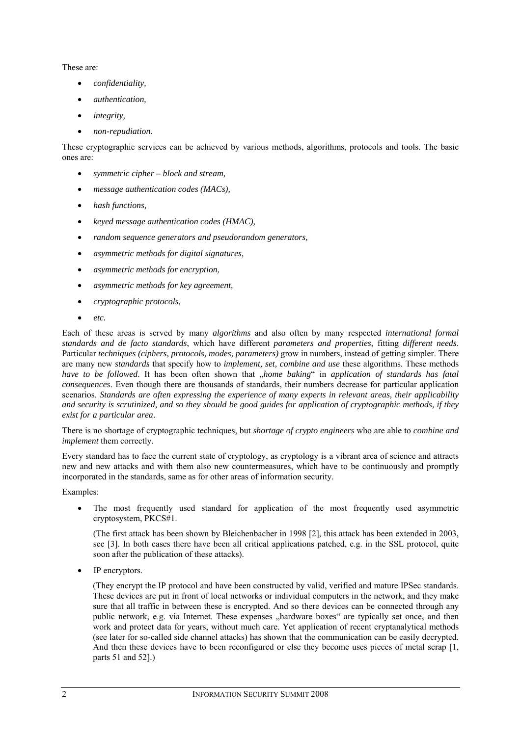These are:

- *confidentiality,*
- *authentication,*
- *integrity,*
- *non-repudiation.*

These cryptographic services can be achieved by various methods, algorithms, protocols and tools. The basic ones are:

- *symmetric cipher block and stream,*
- *message authentication codes (MACs),*
- *hash functions,*
- *keyed message authentication codes (HMAC),*
- *random sequence generators and pseudorandom generators,*
- *asymmetric methods for digital signatures,*
- *asymmetric methods for encryption,*
- *asymmetric methods for key agreement,*
- *cryptographic protocols,*
- *etc.*

Each of these areas is served by many *algorithms* and also often by many respected *international formal standards and de facto standards*, which have different *parameters and properties*, fitting *different needs*. Particular *techniques (ciphers, protocols, modes, parameters)* grow in numbers, instead of getting simpler. There are many new *standards* that specify how to *implement, set, combine and use* these algorithms. These methods *have to be followed*. It has been often shown that "home baking" in application of standards has fatal *consequences*. Even though there are thousands of standards, their numbers decrease for particular application scenarios. *Standards are often expressing the experience of many experts in relevant areas, their applicability and security is scrutinized, and so they should be good guides for application of cryptographic methods, if they exist for a particular area*.

There is no shortage of cryptographic techniques, but *shortage of crypto engineers* who are able to *combine and implement* them correctly.

Every standard has to face the current state of cryptology, as cryptology is a vibrant area of science and attracts new and new attacks and with them also new countermeasures, which have to be continuously and promptly incorporated in the standards, same as for other areas of information security.

Examples:

The most frequently used standard for application of the most frequently used asymmetric cryptosystem, PKCS#1.

(The first attack has been shown by Bleichenbacher in 1998 [2], this attack has been extended in 2003, see [3]. In both cases there have been all critical applications patched, e.g. in the SSL protocol, quite soon after the publication of these attacks).

IP encryptors.

(They encrypt the IP protocol and have been constructed by valid, verified and mature IPSec standards. These devices are put in front of local networks or individual computers in the network, and they make sure that all traffic in between these is encrypted. And so there devices can be connected through any public network, e.g. via Internet. These expenses "hardware boxes" are typically set once, and then work and protect data for years, without much care. Yet application of recent cryptanalytical methods (see later for so-called side channel attacks) has shown that the communication can be easily decrypted. And then these devices have to been reconfigured or else they become uses pieces of metal scrap [1, parts 51 and 52].)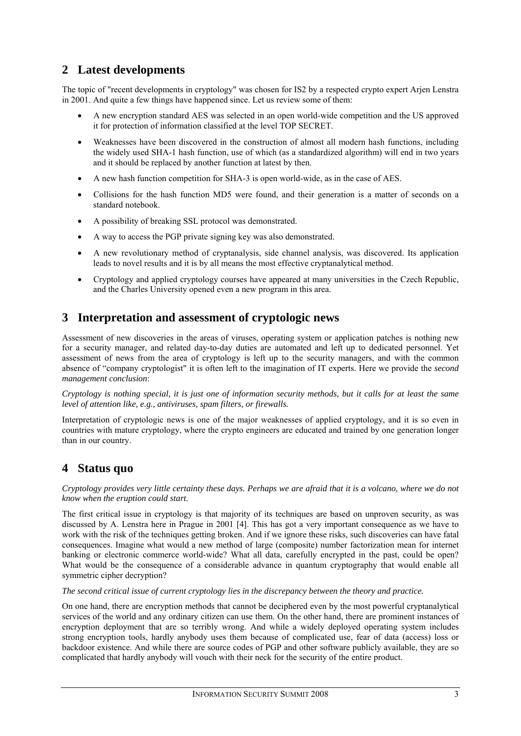# **2 Latest developments**

The topic of "recent developments in cryptology" was chosen for IS2 by a respected crypto expert Arjen Lenstra in 2001. And quite a few things have happened since. Let us review some of them:

- A new encryption standard AES was selected in an open world-wide competition and the US approved it for protection of information classified at the level TOP SECRET.
- Weaknesses have been discovered in the construction of almost all modern hash functions, including the widely used SHA-1 hash function, use of which (as a standardized algorithm) will end in two years and it should be replaced by another function at latest by then.
- A new hash function competition for SHA-3 is open world-wide, as in the case of AES.
- Collisions for the hash function MD5 were found, and their generation is a matter of seconds on a standard notebook.
- A possibility of breaking SSL protocol was demonstrated.
- A way to access the PGP private signing key was also demonstrated.
- A new revolutionary method of cryptanalysis, side channel analysis, was discovered. Its application leads to novel results and it is by all means the most effective cryptanalytical method.
- Cryptology and applied cryptology courses have appeared at many universities in the Czech Republic, and the Charles University opened even a new program in this area.

#### **3 Interpretation and assessment of cryptologic news**

Assessment of new discoveries in the areas of viruses, operating system or application patches is nothing new for a security manager, and related day-to-day duties are automated and left up to dedicated personnel. Yet assessment of news from the area of cryptology is left up to the security managers, and with the common absence of "company cryptologist" it is often left to the imagination of IT experts. Here we provide the *second management conclusion*:

*Cryptology is nothing special, it is just one of information security methods, but it calls for at least the same level of attention like, e.g., antiviruses, spam filters, or firewalls.* 

Interpretation of cryptologic news is one of the major weaknesses of applied cryptology, and it is so even in countries with mature cryptology, where the crypto engineers are educated and trained by one generation longer than in our country.

#### **4 Status quo**

*Cryptology provides very little certainty these days. Perhaps we are afraid that it is a volcano, where we do not know when the eruption could start.* 

The first critical issue in cryptology is that majority of its techniques are based on unproven security, as was discussed by A. Lenstra here in Prague in 2001 [4]. This has got a very important consequence as we have to work with the risk of the techniques getting broken. And if we ignore these risks, such discoveries can have fatal consequences. Imagine what would a new method of large (composite) number factorization mean for internet banking or electronic commerce world-wide? What all data, carefully encrypted in the past, could be open? What would be the consequence of a considerable advance in quantum cryptography that would enable all symmetric cipher decryption?

*The second critical issue of current cryptology lies in the discrepancy between the theory and practice.* 

On one hand, there are encryption methods that cannot be deciphered even by the most powerful cryptanalytical services of the world and any ordinary citizen can use them. On the other hand, there are prominent instances of encryption deployment that are so terribly wrong. And while a widely deployed operating system includes strong encryption tools, hardly anybody uses them because of complicated use, fear of data (access) loss or backdoor existence. And while there are source codes of PGP and other software publicly available, they are so complicated that hardly anybody will vouch with their neck for the security of the entire product.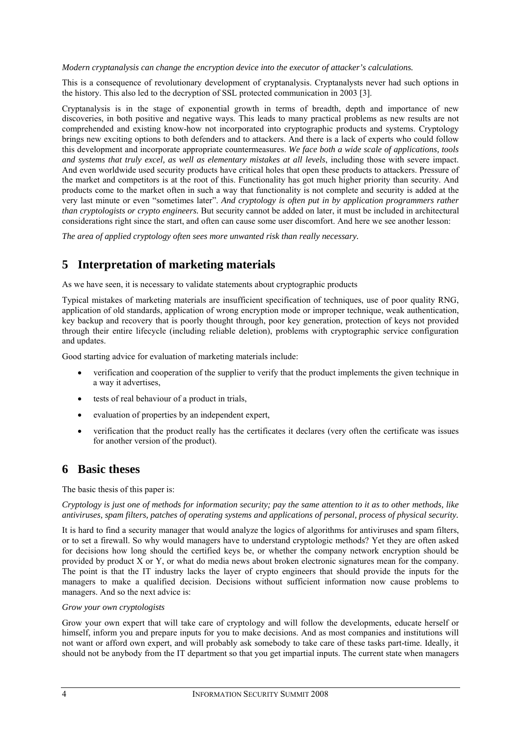*Modern cryptanalysis can change the encryption device into the executor of attacker's calculations.* 

This is a consequence of revolutionary development of cryptanalysis. Cryptanalysts never had such options in the history. This also led to the decryption of SSL protected communication in 2003 [3].

Cryptanalysis is in the stage of exponential growth in terms of breadth, depth and importance of new discoveries, in both positive and negative ways. This leads to many practical problems as new results are not comprehended and existing know-how not incorporated into cryptographic products and systems. Cryptology brings new exciting options to both defenders and to attackers. And there is a lack of experts who could follow this development and incorporate appropriate countermeasures. *We face both a wide scale of applications, tools and systems that truly excel, as well as elementary mistakes at all levels*, including those with severe impact. And even worldwide used security products have critical holes that open these products to attackers. Pressure of the market and competitors is at the root of this. Functionality has got much higher priority than security. And products come to the market often in such a way that functionality is not complete and security is added at the very last minute or even "sometimes later". *And cryptology is often put in by application programmers rather than cryptologists or crypto engineers.* But security cannot be added on later, it must be included in architectural considerations right since the start, and often can cause some user discomfort. And here we see another lesson:

*The area of applied cryptology often sees more unwanted risk than really necessary.* 

# **5 Interpretation of marketing materials**

As we have seen, it is necessary to validate statements about cryptographic products

Typical mistakes of marketing materials are insufficient specification of techniques, use of poor quality RNG, application of old standards, application of wrong encryption mode or improper technique, weak authentication, key backup and recovery that is poorly thought through, poor key generation, protection of keys not provided through their entire lifecycle (including reliable deletion), problems with cryptographic service configuration and updates.

Good starting advice for evaluation of marketing materials include:

- verification and cooperation of the supplier to verify that the product implements the given technique in a way it advertises,
- tests of real behaviour of a product in trials,
- evaluation of properties by an independent expert,
- verification that the product really has the certificates it declares (very often the certificate was issues for another version of the product).

## **6 Basic theses**

#### The basic thesis of this paper is:

*Cryptology is just one of methods for information security; pay the same attention to it as to other methods, like antiviruses, spam filters, patches of operating systems and applications of personal, process of physical security.* 

It is hard to find a security manager that would analyze the logics of algorithms for antiviruses and spam filters, or to set a firewall. So why would managers have to understand cryptologic methods? Yet they are often asked for decisions how long should the certified keys be, or whether the company network encryption should be provided by product X or Y, or what do media news about broken electronic signatures mean for the company. The point is that the IT industry lacks the layer of crypto engineers that should provide the inputs for the managers to make a qualified decision. Decisions without sufficient information now cause problems to managers. And so the next advice is:

#### *Grow your own cryptologists*

Grow your own expert that will take care of cryptology and will follow the developments, educate herself or himself, inform you and prepare inputs for you to make decisions. And as most companies and institutions will not want or afford own expert, and will probably ask somebody to take care of these tasks part-time. Ideally, it should not be anybody from the IT department so that you get impartial inputs. The current state when managers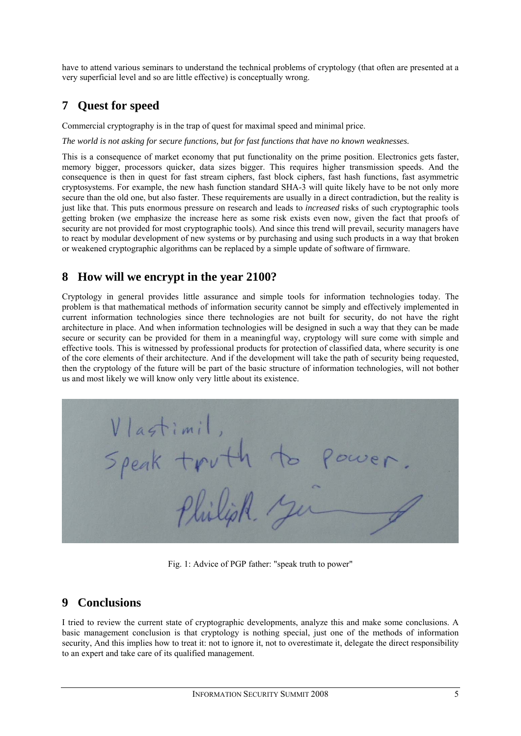have to attend various seminars to understand the technical problems of cryptology (that often are presented at a very superficial level and so are little effective) is conceptually wrong.

# **7 Quest for speed**

Commercial cryptography is in the trap of quest for maximal speed and minimal price.

*The world is not asking for secure functions, but for fast functions that have no known weaknesses.* 

This is a consequence of market economy that put functionality on the prime position. Electronics gets faster, memory bigger, processors quicker, data sizes bigger. This requires higher transmission speeds. And the consequence is then in quest for fast stream ciphers, fast block ciphers, fast hash functions, fast asymmetric cryptosystems. For example, the new hash function standard SHA-3 will quite likely have to be not only more secure than the old one, but also faster. These requirements are usually in a direct contradiction, but the reality is just like that. This puts enormous pressure on research and leads to *increased* risks of such cryptographic tools getting broken (we emphasize the increase here as some risk exists even now, given the fact that proofs of security are not provided for most cryptographic tools). And since this trend will prevail, security managers have to react by modular development of new systems or by purchasing and using such products in a way that broken or weakened cryptographic algorithms can be replaced by a simple update of software of firmware.

## **8 How will we encrypt in the year 2100?**

Cryptology in general provides little assurance and simple tools for information technologies today. The problem is that mathematical methods of information security cannot be simply and effectively implemented in current information technologies since there technologies are not built for security, do not have the right architecture in place. And when information technologies will be designed in such a way that they can be made secure or security can be provided for them in a meaningful way, cryptology will sure come with simple and effective tools. This is witnessed by professional products for protection of classified data, where security is one of the core elements of their architecture. And if the development will take the path of security being requested, then the cryptology of the future will be part of the basic structure of information technologies, will not bother us and most likely we will know only very little about its existence.



Fig. 1: Advice of PGP father: "speak truth to power"

## **9 Conclusions**

I tried to review the current state of cryptographic developments, analyze this and make some conclusions. A basic management conclusion is that cryptology is nothing special, just one of the methods of information security, And this implies how to treat it: not to ignore it, not to overestimate it, delegate the direct responsibility to an expert and take care of its qualified management.